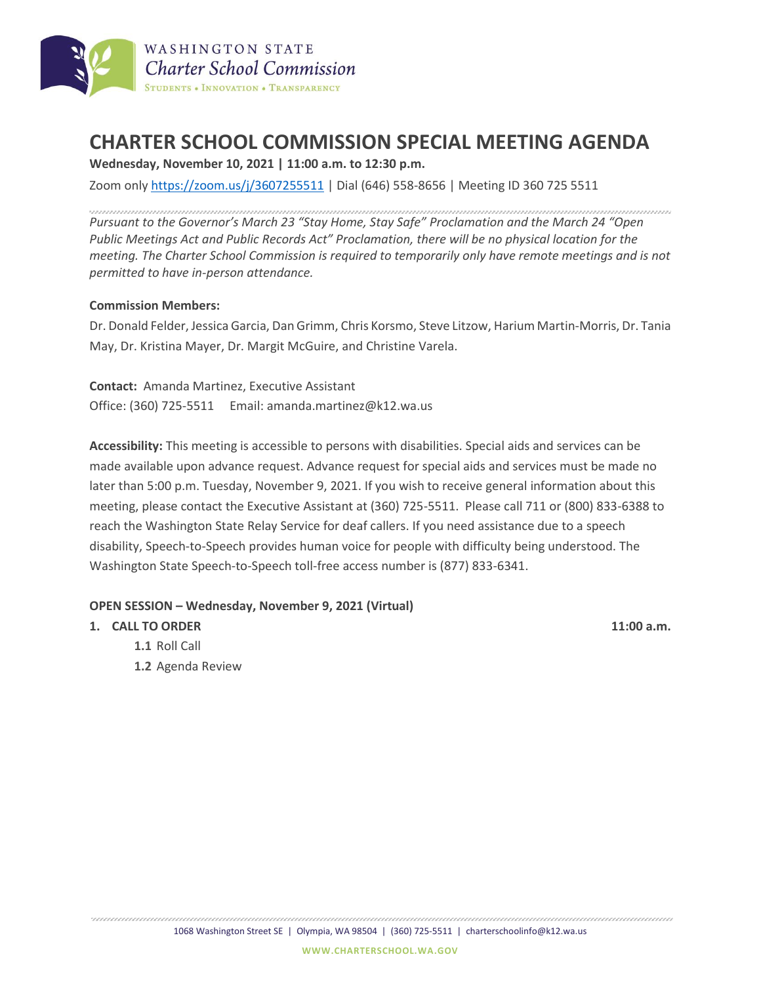

## **CHARTER SCHOOL COMMISSION SPECIAL MEETING AGENDA**

**Wednesday, November 10, 2021 | 11:00 a.m. to 12:30 p.m.**

Zoom only <https://zoom.us/j/3607255511> | Dial (646) 558-8656 | Meeting ID 360 725 5511

*Pursuant to the Governor's March 23 "Stay Home, Stay Safe" Proclamation and the March 24 "Open Public Meetings Act and Public Records Act" Proclamation, there will be no physical location for the meeting. The Charter School Commission is required to temporarily only have remote meetings and is not permitted to have in-person attendance.*

## **Commission Members:**

Dr. Donald Felder, Jessica Garcia, Dan Grimm, Chris Korsmo, Steve Litzow, Harium Martin-Morris, Dr. Tania May, Dr. Kristina Mayer, Dr. Margit McGuire, and Christine Varela.

**Contact:** Amanda Martinez, Executive Assistant Office: (360) 725-5511 Email: amanda.martinez@k12.wa.us

**Accessibility:** This meeting is accessible to persons with disabilities. Special aids and services can be made available upon advance request. Advance request for special aids and services must be made no later than 5:00 p.m. Tuesday, November 9, 2021. If you wish to receive general information about this meeting, please contact the Executive Assistant at (360) 725-5511. Please call 711 or (800) 833-6388 to reach the Washington State Relay Service for deaf callers. If you need assistance due to a speech disability, Speech-to-Speech provides human voice for people with difficulty being understood. The Washington State Speech-to-Speech toll-free access number is (877) 833-6341.

## **OPEN SESSION – Wednesday, November 9, 2021 (Virtual)**

## **1. CALL TO ORDER 11:00 a.m.**

- **1.1** Roll Call
- **1.2** Agenda Review